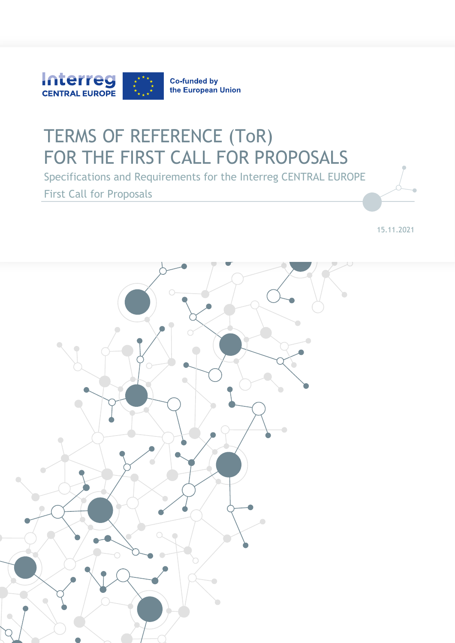

# TERMS OF REFERENCE (ToR) FOR THE FIRST CALL FOR PROPOSALS

Specifications and Requirements for the Interreg CENTRAL EUROPE First Call for Proposals

15.11.2021

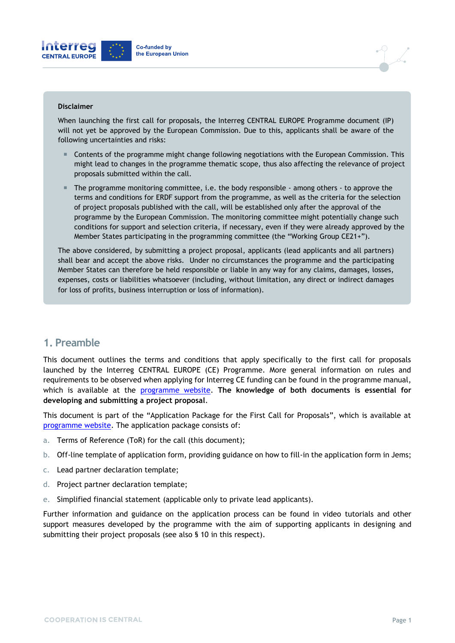



#### **Disclaimer**

When launching the first call for proposals, the Interreg CENTRAL EUROPE Programme document (IP) will not yet be approved by the European Commission. Due to this, applicants shall be aware of the following uncertainties and risks:

- Contents of the programme might change following negotiations with the European Commission. This might lead to changes in the programme thematic scope, thus also affecting the relevance of project proposals submitted within the call.
- The programme monitoring committee, i.e. the body responsible among others to approve the terms and conditions for ERDF support from the programme, as well as the criteria for the selection of project proposals published with the call, will be established only after the approval of the programme by the European Commission. The monitoring committee might potentially change such conditions for support and selection criteria, if necessary, even if they were already approved by the Member States participating in the programming committee (the "Working Group CE21+").

The above considered, by submitting a project proposal, applicants (lead applicants and all partners) shall bear and accept the above risks. Under no circumstances the programme and the participating Member States can therefore be held responsible or liable in any way for any claims, damages, losses, expenses, costs or liabilities whatsoever (including, without limitation, any direct or indirect damages for loss of profits, business interruption or loss of information).

#### **1. Preamble**

This document outlines the terms and conditions that apply specifically to the first call for proposals launched by the Interreg CENTRAL EUROPE (CE) Programme. More general information on rules and requirements to be observed when applying for Interreg CE funding can be found in the programme manual, which is available at the [programme website.](https://www.interreg-central.eu/Content.Node/apply/newfunding.html#Documents) **The knowledge of both documents is essential for developing and submitting a project proposal**.

This document is part of the "Application Package for the First Call for Proposals", which is available at [programme website.](https://www.interreg-central.eu/Content.Node/apply/newfunding.html#Documents) The application package consists of:

- a. Terms of Reference (ToR) for the call (this document);
- b. Off-line template of application form, providing guidance on how to fill-in the application form in Jems;
- c. Lead partner declaration template;
- d. Project partner declaration template;
- e. Simplified financial statement (applicable only to private lead applicants).

Further information and guidance on the application process can be found in video tutorials and other support measures developed by the programme with the aim of supporting applicants in designing and submitting their project proposals (see also § 10 in this respect).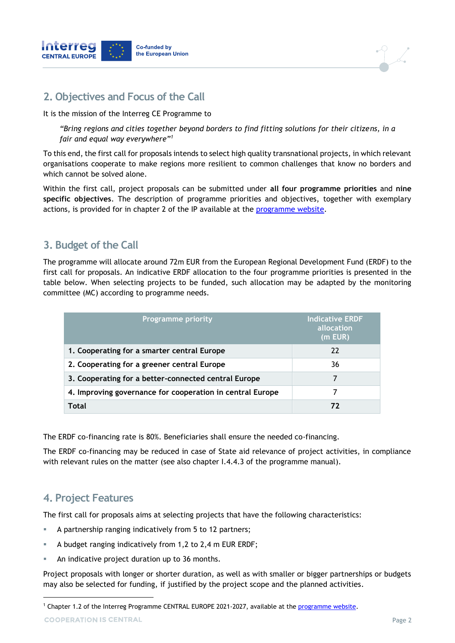



### **2. Objectives and Focus of the Call**

It is the mission of the Interreg CE Programme to

*"Bring regions and cities together beyond borders to find fitting solutions for their citizens, in a fair and equal way everywhere"<sup>1</sup>*

To this end, the first call for proposals intends to select high quality transnational projects, in which relevant organisations cooperate to make regions more resilient to common challenges that know no borders and which cannot be solved alone.

Within the first call, project proposals can be submitted under **all four programme priorities** and **nine specific objectives**. The description of programme priorities and objectives, together with exemplary actions, is provided for in chapter 2 of the IP available at the [programme website.](https://www.interreg-central.eu/Content.Node/apply/newfunding.html#Documents)

### **3. Budget of the Call**

The programme will allocate around 72m EUR from the European Regional Development Fund (ERDF) to the first call for proposals. An indicative ERDF allocation to the four programme priorities is presented in the table below. When selecting projects to be funded, such allocation may be adapted by the monitoring committee (MC) according to programme needs.

| <b>Programme priority</b>                                 | <b>Indicative ERDF</b><br>allocation<br>(m EUR) |
|-----------------------------------------------------------|-------------------------------------------------|
| 1. Cooperating for a smarter central Europe               | 22                                              |
| 2. Cooperating for a greener central Europe               | 36                                              |
| 3. Cooperating for a better-connected central Europe      |                                                 |
| 4. Improving governance for cooperation in central Europe |                                                 |
| Total                                                     | 72                                              |

The ERDF co-financing rate is 80%. Beneficiaries shall ensure the needed co-financing.

The ERDF co-financing may be reduced in case of State aid relevance of project activities, in compliance with relevant rules on the matter (see also chapter I.4.4.3 of the programme manual).

# **4. Project Features**

The first call for proposals aims at selecting projects that have the following characteristics:

- A partnership ranging indicatively from 5 to 12 partners;
- A budget ranging indicatively from 1,2 to 2,4 m EUR ERDF;
- An indicative project duration up to 36 months.

Project proposals with longer or shorter duration, as well as with smaller or bigger partnerships or budgets may also be selected for funding, if justified by the project scope and the planned activities.

-

<sup>&</sup>lt;sup>1</sup> Chapter 1.2 of the Interreg Programme CENTRAL EUROPE 2021-2027, available at the [programme website.](https://www.interreg-central.eu/Content.Node/apply/newfunding.html#Documents)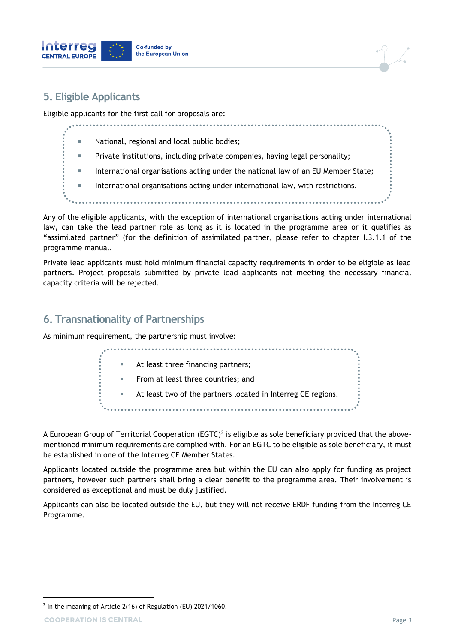

# **5. Eligible Applicants**

Eligible applicants for the first call for proposals are:

. . . . . . . . . . . . . . . . . National, regional and local public bodies; Private institutions, including private companies, having legal personality; **International organisations acting under the national law of an EU Member State; International organisations acting under international law, with restrictions.** 

Any of the eligible applicants, with the exception of international organisations acting under international law, can take the lead partner role as long as it is located in the programme area or it qualifies as "assimilated partner" (for the definition of assimilated partner, please refer to chapter I.3.1.1 of the programme manual.

Private lead applicants must hold minimum financial capacity requirements in order to be eligible as lead partners. Project proposals submitted by private lead applicants not meeting the necessary financial capacity criteria will be rejected.

## **6. Transnationality of Partnerships**

As minimum requirement, the partnership must involve:

|  | At least three financing partners;                           |
|--|--------------------------------------------------------------|
|  | From at least three countries; and                           |
|  | At least two of the partners located in Interreg CE regions. |
|  |                                                              |

A European Group of Territorial Cooperation (EGTC)<sup>2</sup> is eligible as sole beneficiary provided that the abovementioned minimum requirements are complied with. For an EGTC to be eligible as sole beneficiary, it must be established in one of the Interreg CE Member States.

Applicants located outside the programme area but within the EU can also apply for funding as project partners, however such partners shall bring a clear benefit to the programme area. Their involvement is considered as exceptional and must be duly justified.

Applicants can also be located outside the EU, but they will not receive ERDF funding from the Interreg CE Programme.

-

 $2$  In the meaning of Article 2(16) of Regulation (EU) 2021/1060.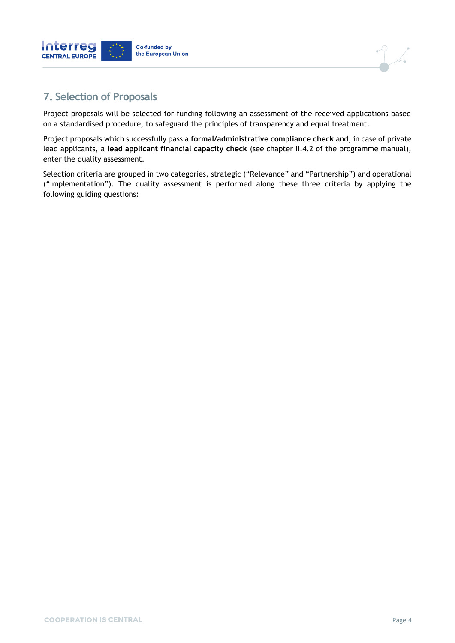



# **7. Selection of Proposals**

Project proposals will be selected for funding following an assessment of the received applications based on a standardised procedure, to safeguard the principles of transparency and equal treatment.

Project proposals which successfully pass a **formal/administrative compliance check** and, in case of private lead applicants, a **lead applicant financial capacity check** (see chapter II.4.2 of the programme manual), enter the quality assessment.

Selection criteria are grouped in two categories, strategic ("Relevance" and "Partnership") and operational ("Implementation"). The quality assessment is performed along these three criteria by applying the following guiding questions: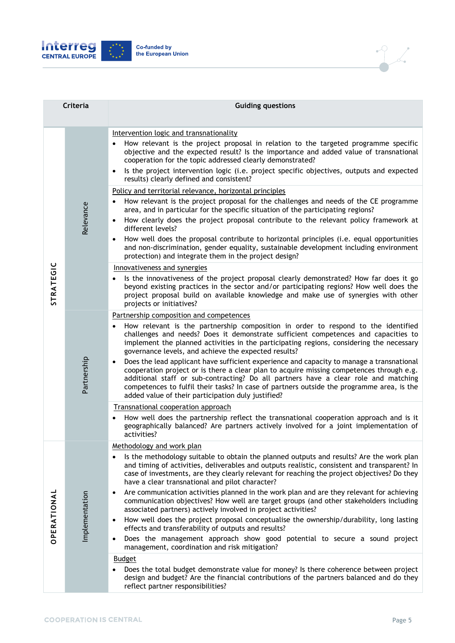



| Criteria         |                | <b>Guiding questions</b>                                                                                                                                                                                                                                                                                                                                                                                                                                                                                                                       |
|------------------|----------------|------------------------------------------------------------------------------------------------------------------------------------------------------------------------------------------------------------------------------------------------------------------------------------------------------------------------------------------------------------------------------------------------------------------------------------------------------------------------------------------------------------------------------------------------|
|                  |                |                                                                                                                                                                                                                                                                                                                                                                                                                                                                                                                                                |
|                  | Relevance      | Intervention logic and transnationality<br>How relevant is the project proposal in relation to the targeted programme specific<br>objective and the expected result? Is the importance and added value of transnational<br>cooperation for the topic addressed clearly demonstrated?<br>Is the project intervention logic (i.e. project specific objectives, outputs and expected<br>$\bullet$<br>results) clearly defined and consistent?                                                                                                     |
|                  |                | Policy and territorial relevance, horizontal principles                                                                                                                                                                                                                                                                                                                                                                                                                                                                                        |
|                  |                | How relevant is the project proposal for the challenges and needs of the CE programme<br>$\bullet$<br>area, and in particular for the specific situation of the participating regions?                                                                                                                                                                                                                                                                                                                                                         |
|                  |                | How clearly does the project proposal contribute to the relevant policy framework at<br>$\bullet$<br>different levels?                                                                                                                                                                                                                                                                                                                                                                                                                         |
|                  |                | How well does the proposal contribute to horizontal principles (i.e. equal opportunities<br>$\bullet$<br>and non-discrimination, gender equality, sustainable development including environment<br>protection) and integrate them in the project design?                                                                                                                                                                                                                                                                                       |
|                  |                | Innovativeness and synergies                                                                                                                                                                                                                                                                                                                                                                                                                                                                                                                   |
| <b>STRATEGIC</b> |                | Is the innovativeness of the project proposal clearly demonstrated? How far does it go<br>beyond existing practices in the sector and/or participating regions? How well does the<br>project proposal build on available knowledge and make use of synergies with other<br>projects or initiatives?                                                                                                                                                                                                                                            |
|                  |                | Partnership composition and competences                                                                                                                                                                                                                                                                                                                                                                                                                                                                                                        |
|                  | Partnership    | How relevant is the partnership composition in order to respond to the identified<br>$\bullet$<br>challenges and needs? Does it demonstrate sufficient competences and capacities to<br>implement the planned activities in the participating regions, considering the necessary<br>governance levels, and achieve the expected results?<br>Does the lead applicant have sufficient experience and capacity to manage a transnational<br>$\bullet$<br>cooperation project or is there a clear plan to acquire missing competences through e.g. |
|                  |                | additional staff or sub-contracting? Do all partners have a clear role and matching<br>competences to fulfil their tasks? In case of partners outside the programme area, is the<br>added value of their participation duly justified?                                                                                                                                                                                                                                                                                                         |
|                  |                | Transnational cooperation approach                                                                                                                                                                                                                                                                                                                                                                                                                                                                                                             |
|                  |                | How well does the partnership reflect the transnational cooperation approach and is it<br>$\bullet$<br>geographically balanced? Are partners actively involved for a joint implementation of<br>activities?                                                                                                                                                                                                                                                                                                                                    |
|                  | Implementation | Methodology and work plan                                                                                                                                                                                                                                                                                                                                                                                                                                                                                                                      |
| OPERATIONAL      |                | Is the methodology suitable to obtain the planned outputs and results? Are the work plan<br>$\bullet$<br>and timing of activities, deliverables and outputs realistic, consistent and transparent? In<br>case of investments, are they clearly relevant for reaching the project objectives? Do they<br>have a clear transnational and pilot character?                                                                                                                                                                                        |
|                  |                | Are communication activities planned in the work plan and are they relevant for achieving<br>٠<br>communication objectives? How well are target groups (and other stakeholders including<br>associated partners) actively involved in project activities?                                                                                                                                                                                                                                                                                      |
|                  |                | How well does the project proposal conceptualise the ownership/durability, long lasting<br>$\bullet$<br>effects and transferability of outputs and results?                                                                                                                                                                                                                                                                                                                                                                                    |
|                  |                | Does the management approach show good potential to secure a sound project<br>$\bullet$<br>management, coordination and risk mitigation?                                                                                                                                                                                                                                                                                                                                                                                                       |
|                  |                | <b>Budget</b><br>Does the total budget demonstrate value for money? Is there coherence between project<br>design and budget? Are the financial contributions of the partners balanced and do they<br>reflect partner responsibilities?                                                                                                                                                                                                                                                                                                         |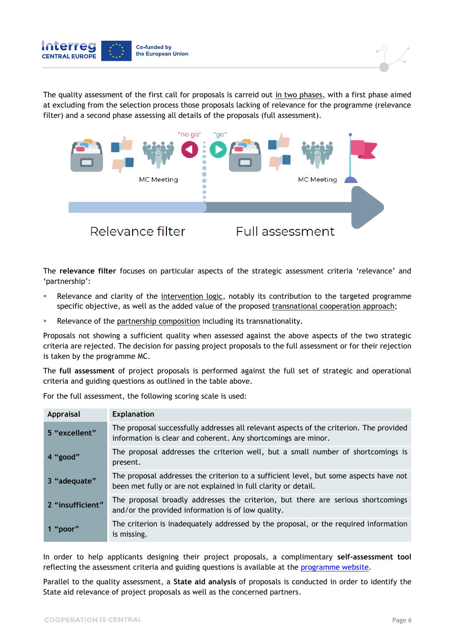



The quality assessment of the first call for proposals is carreid out in two phases, with a first phase aimed at excluding from the selection process those proposals lacking of relevance for the programme (relevance filter) and a second phase assessing all details of the proposals (full assessment).



The **relevance filter** focuses on particular aspects of the strategic assessment criteria 'relevance' and 'partnership':

- Relevance and clarity of the intervention logic, notably its contribution to the targeted programme specific objective, as well as the added value of the proposed transnational cooperation approach;
- Relevance of the partnership composition including its transnationality.

Proposals not showing a sufficient quality when assessed against the above aspects of the two strategic criteria are rejected. The decision for passing project proposals to the full assessment or for their rejection is taken by the programme MC.

The **full assessment** of project proposals is performed against the full set of strategic and operational criteria and guiding questions as outlined in the table above.

For the full assessment, the following scoring scale is used:

| Appraisal        | <b>Explanation</b>                                                                                                                                        |
|------------------|-----------------------------------------------------------------------------------------------------------------------------------------------------------|
| 5 "excellent"    | The proposal successfully addresses all relevant aspects of the criterion. The provided<br>information is clear and coherent. Any shortcomings are minor. |
| 4 "good"         | The proposal addresses the criterion well, but a small number of shortcomings is<br>present.                                                              |
| 3 "adequate"     | The proposal addresses the criterion to a sufficient level, but some aspects have not<br>been met fully or are not explained in full clarity or detail.   |
| 2 "insufficient" | The proposal broadly addresses the criterion, but there are serious shortcomings<br>and/or the provided information is of low quality.                    |
| 1 "poor"         | The criterion is inadequately addressed by the proposal, or the required information<br>is missing.                                                       |

In order to help applicants designing their project proposals, a complimentary **self-assessment tool** reflecting the assessment criteria and guiding questions is available at the [programme website.](https://www.interreg-central.eu/Content.Node/apply/newfunding.html#Documents)

Parallel to the quality assessment, a **State aid analysis** of proposals is conducted in order to identify the State aid relevance of project proposals as well as the concerned partners.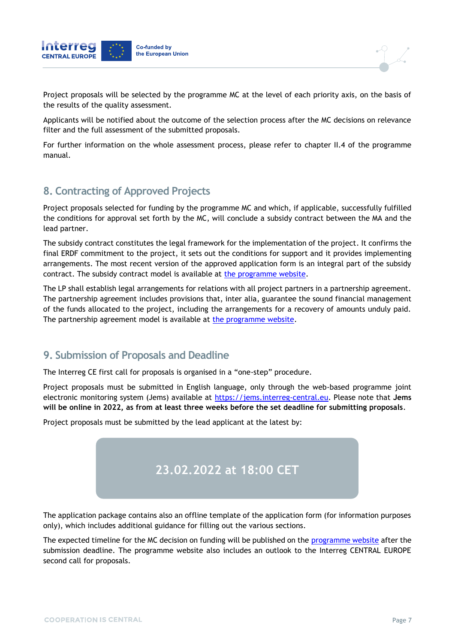

Project proposals will be selected by the programme MC at the level of each priority axis, on the basis of the results of the quality assessment.

Applicants will be notified about the outcome of the selection process after the MC decisions on relevance filter and the full assessment of the submitted proposals.

For further information on the whole assessment process, please refer to chapter II.4 of the programme manual.

### **8. Contracting of Approved Projects**

Project proposals selected for funding by the programme MC and which, if applicable, successfully fulfilled the conditions for approval set forth by the MC, will conclude a subsidy contract between the MA and the lead partner.

The subsidy contract constitutes the legal framework for the implementation of the project. It confirms the final ERDF commitment to the project, it sets out the conditions for support and it provides implementing arrangements. The most recent version of the approved application form is an integral part of the subsidy contract. The subsidy contract model is available at [the programme website.](https://www.interreg-central.eu/Content.Node/apply/newfunding.html#Documents)

The LP shall establish legal arrangements for relations with all project partners in a partnership agreement. The partnership agreement includes provisions that, inter alia, guarantee the sound financial management of the funds allocated to the project, including the arrangements for a recovery of amounts unduly paid. The partnership agreement model is available at [the programme website.](https://www.interreg-central.eu/Content.Node/apply/newfunding.html#Documents)

# **9. Submission of Proposals and Deadline**

The Interreg CE first call for proposals is organised in a "one-step" procedure.

Project proposals must be submitted in English language, only through the web-based programme joint electronic monitoring system (Jems) available at [https://jems.interreg-central.eu.](https://jems.interreg-central.eu/) Please note that **Jems will be online in 2022, as from at least three weeks before the set deadline for submitting proposals**.

Project proposals must be submitted by the lead applicant at the latest by:



The application package contains also an offline template of the application form (for information purposes only), which includes additional guidance for filling out the various sections.

The expected timeline for the MC decision on funding will be published on the [programme website](https://www.interreg-central.eu/Content.Node/home.html) after the submission deadline. The programme website also includes an outlook to the Interreg CENTRAL EUROPE second call for proposals.